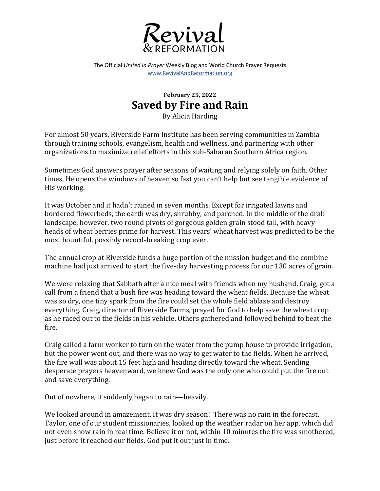

The Official *United in Prayer* Weekly Blog and World Church Prayer Requests www.RevivalAndReformation.org

## **February 25, 2022 Saved by Fire and Rain**

By Alicia Harding

For almost 50 years, Riverside Farm Institute has been serving communities in Zambia through training schools, evangelism, health and wellness, and partnering with other organizations to maximize relief efforts in this sub-Saharan Southern Africa region.

Sometimes God answers prayer after seasons of waiting and relying solely on faith. Other times, He opens the windows of heaven so fast you can't help but see tangible evidence of His working.

It was October and it hadn't rained in seven months. Except for irrigated lawns and bordered flowerbeds, the earth was dry, shrubby, and parched. In the middle of the drab landscape, however, two round pivots of gorgeous golden grain stood tall, with heavy heads of wheat berries prime for harvest. This years' wheat harvest was predicted to be the most bountiful, possibly record-breaking crop ever.

The annual crop at Riverside funds a huge portion of the mission budget and the combine machine had just arrived to start the five-day harvesting process for our 130 acres of grain.

We were relaxing that Sabbath after a nice meal with friends when my husband, Craig, got a call from a friend that a bush fire was heading toward the wheat fields. Because the wheat was so dry, one tiny spark from the fire could set the whole field ablaze and destroy everything. Craig, director of Riverside Farms, prayed for God to help save the wheat crop as he raced out to the fields in his vehicle. Others gathered and followed behind to beat the fire. 

Craig called a farm worker to turn on the water from the pump house to provide irrigation, but the power went out, and there was no way to get water to the fields. When he arrived, the fire wall was about 15 feet high and heading directly toward the wheat. Sending desperate prayers heavenward, we knew God was the only one who could put the fire out and save everything.

Out of nowhere, it suddenly began to rain—heavily.

We looked around in amazement. It was dry season! There was no rain in the forecast. Taylor, one of our student missionaries, looked up the weather radar on her app, which did not even show rain in real time. Believe it or not, within 10 minutes the fire was smothered, just before it reached our fields. God put it out just in time.